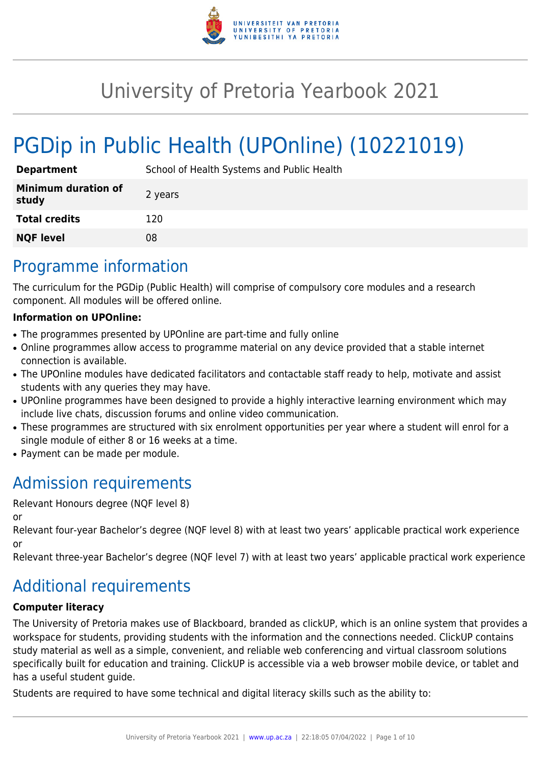

# University of Pretoria Yearbook 2021

# PGDip in Public Health (UPOnline) (10221019)

| <b>Department</b>                   | School of Health Systems and Public Health |
|-------------------------------------|--------------------------------------------|
| <b>Minimum duration of</b><br>study | 2 years                                    |
| <b>Total credits</b>                | 120                                        |
| <b>NQF level</b>                    | 08                                         |

# Programme information

The curriculum for the PGDip (Public Health) will comprise of compulsory core modules and a research component. All modules will be offered online.

# **Information on UPOnline:**

- The programmes presented by UPOnline are part-time and fully online
- Online programmes allow access to programme material on any device provided that a stable internet connection is available.
- The UPOnline modules have dedicated facilitators and contactable staff ready to help, motivate and assist students with any queries they may have.
- UPOnline programmes have been designed to provide a highly interactive learning environment which may include live chats, discussion forums and online video communication.
- These programmes are structured with six enrolment opportunities per year where a student will enrol for a single module of either 8 or 16 weeks at a time.
- Payment can be made per module.

# Admission requirements

Relevant Honours degree (NQF level 8)

or

Relevant four-year Bachelor's degree (NQF level 8) with at least two years' applicable practical work experience or

Relevant three-year Bachelor's degree (NQF level 7) with at least two years' applicable practical work experience

# Additional requirements

# **Computer literacy**

The University of Pretoria makes use of Blackboard, branded as clickUP, which is an online system that provides a workspace for students, providing students with the information and the connections needed. ClickUP contains study material as well as a simple, convenient, and reliable web conferencing and virtual classroom solutions specifically built for education and training. ClickUP is accessible via a web browser mobile device, or tablet and has a useful student guide.

Students are required to have some technical and digital literacy skills such as the ability to: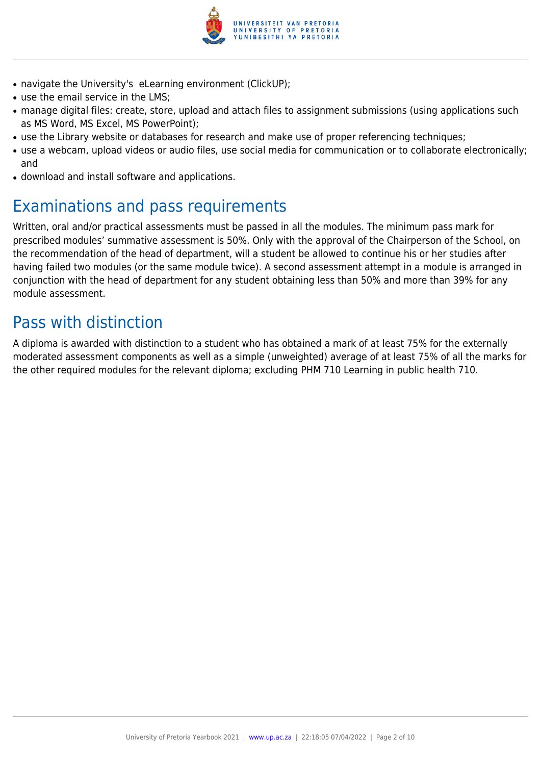

- navigate the University's eLearning environment (ClickUP);
- use the email service in the LMS:
- manage digital files: create, store, upload and attach files to assignment submissions (using applications such as MS Word, MS Excel, MS PowerPoint);
- use the Library website or databases for research and make use of proper referencing techniques;
- use a webcam, upload videos or audio files, use social media for communication or to collaborate electronically; and
- download and install software and applications.

# Examinations and pass requirements

Written, oral and/or practical assessments must be passed in all the modules. The minimum pass mark for prescribed modules' summative assessment is 50%. Only with the approval of the Chairperson of the School, on the recommendation of the head of department, will a student be allowed to continue his or her studies after having failed two modules (or the same module twice). A second assessment attempt in a module is arranged in conjunction with the head of department for any student obtaining less than 50% and more than 39% for any module assessment.

# Pass with distinction

A diploma is awarded with distinction to a student who has obtained a mark of at least 75% for the externally moderated assessment components as well as a simple (unweighted) average of at least 75% of all the marks for the other required modules for the relevant diploma; excluding PHM 710 Learning in public health 710.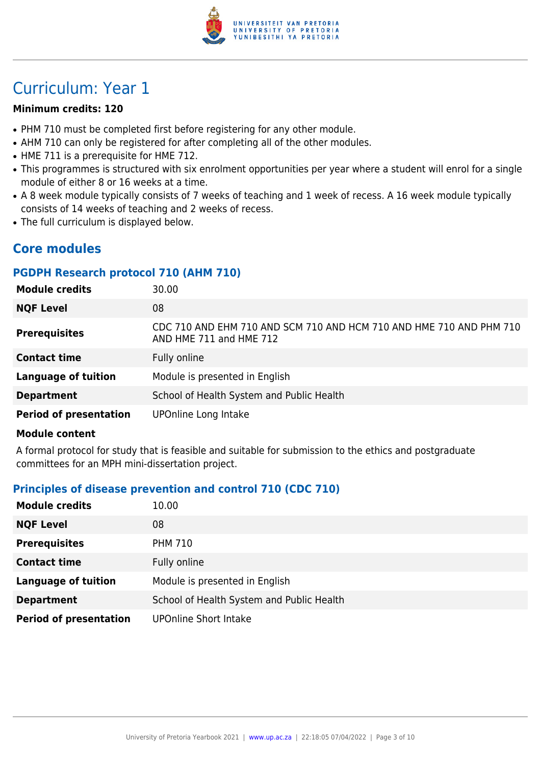

# Curriculum: Year 1

#### **Minimum credits: 120**

- PHM 710 must be completed first before registering for any other module.
- AHM 710 can only be registered for after completing all of the other modules.
- HME 711 is a prerequisite for HME 712.
- This programmes is structured with six enrolment opportunities per year where a student will enrol for a single module of either 8 or 16 weeks at a time.
- A 8 week module typically consists of 7 weeks of teaching and 1 week of recess. A 16 week module typically consists of 14 weeks of teaching and 2 weeks of recess.
- The full curriculum is displayed below.

# **Core modules**

### **PGDPH Research protocol 710 (AHM 710)**

| <b>Module credits</b>         | 30.00                                                                                          |
|-------------------------------|------------------------------------------------------------------------------------------------|
| <b>NQF Level</b>              | 08                                                                                             |
| <b>Prerequisites</b>          | CDC 710 AND EHM 710 AND SCM 710 AND HCM 710 AND HME 710 AND PHM 710<br>AND HME 711 and HME 712 |
| <b>Contact time</b>           | Fully online                                                                                   |
| <b>Language of tuition</b>    | Module is presented in English                                                                 |
| <b>Department</b>             | School of Health System and Public Health                                                      |
| <b>Period of presentation</b> | UPOnline Long Intake                                                                           |

#### **Module content**

A formal protocol for study that is feasible and suitable for submission to the ethics and postgraduate committees for an MPH mini-dissertation project.

# **Principles of disease prevention and control 710 (CDC 710)**

| <b>Module credits</b>         | 10.00                                     |
|-------------------------------|-------------------------------------------|
| <b>NQF Level</b>              | 08                                        |
| <b>Prerequisites</b>          | <b>PHM 710</b>                            |
| <b>Contact time</b>           | Fully online                              |
| <b>Language of tuition</b>    | Module is presented in English            |
| <b>Department</b>             | School of Health System and Public Health |
| <b>Period of presentation</b> | <b>UPOnline Short Intake</b>              |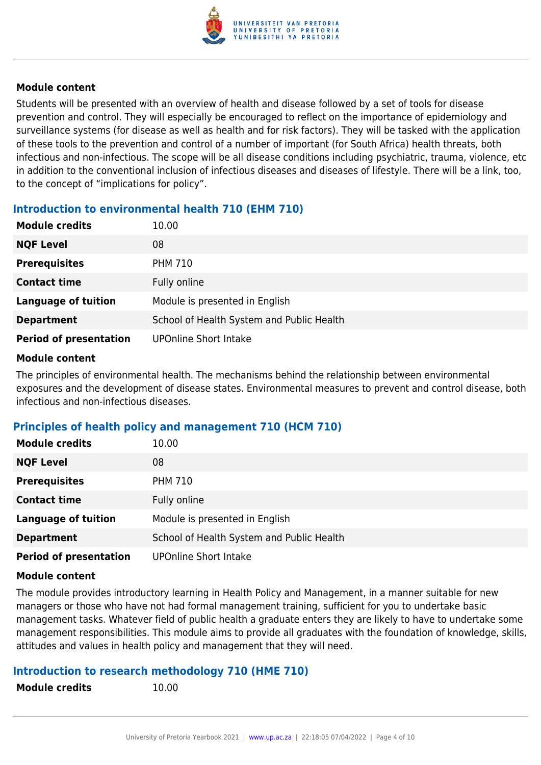

Students will be presented with an overview of health and disease followed by a set of tools for disease prevention and control. They will especially be encouraged to reflect on the importance of epidemiology and surveillance systems (for disease as well as health and for risk factors). They will be tasked with the application of these tools to the prevention and control of a number of important (for South Africa) health threats, both infectious and non-infectious. The scope will be all disease conditions including psychiatric, trauma, violence, etc in addition to the conventional inclusion of infectious diseases and diseases of lifestyle. There will be a link, too, to the concept of "implications for policy".

# **Introduction to environmental health 710 (EHM 710)**

| <b>Module credits</b>         | 10.00                                     |
|-------------------------------|-------------------------------------------|
| <b>NQF Level</b>              | 08                                        |
| <b>Prerequisites</b>          | <b>PHM 710</b>                            |
| <b>Contact time</b>           | Fully online                              |
| <b>Language of tuition</b>    | Module is presented in English            |
| <b>Department</b>             | School of Health System and Public Health |
| <b>Period of presentation</b> | <b>UPOnline Short Intake</b>              |

#### **Module content**

The principles of environmental health. The mechanisms behind the relationship between environmental exposures and the development of disease states. Environmental measures to prevent and control disease, both infectious and non-infectious diseases.

# **Principles of health policy and management 710 (HCM 710)**

| <b>Module credits</b>         | 10.00                                     |
|-------------------------------|-------------------------------------------|
| <b>NQF Level</b>              | 08                                        |
| <b>Prerequisites</b>          | <b>PHM 710</b>                            |
| <b>Contact time</b>           | Fully online                              |
| <b>Language of tuition</b>    | Module is presented in English            |
| <b>Department</b>             | School of Health System and Public Health |
| <b>Period of presentation</b> | <b>UPOnline Short Intake</b>              |

#### **Module content**

The module provides introductory learning in Health Policy and Management, in a manner suitable for new managers or those who have not had formal management training, sufficient for you to undertake basic management tasks. Whatever field of public health a graduate enters they are likely to have to undertake some management responsibilities. This module aims to provide all graduates with the foundation of knowledge, skills, attitudes and values in health policy and management that they will need.

#### **Introduction to research methodology 710 (HME 710)**

```
Module credits 10.00
```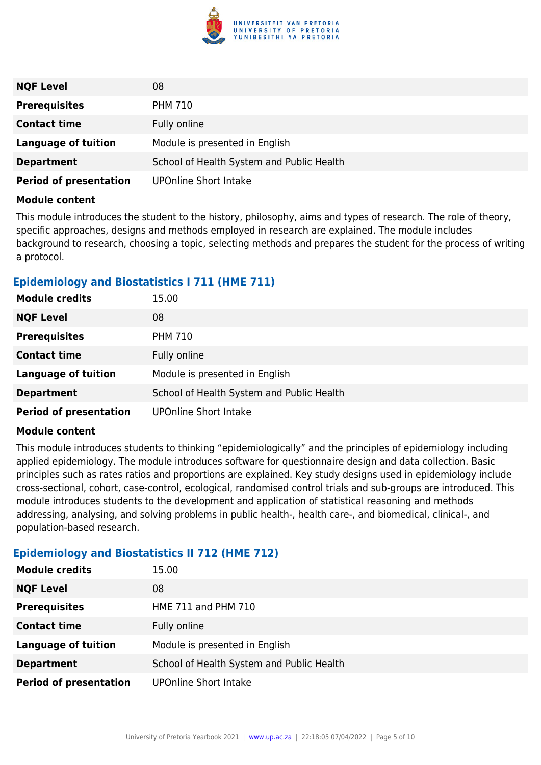

| <b>NQF Level</b>              | 08                                        |
|-------------------------------|-------------------------------------------|
| <b>Prerequisites</b>          | <b>PHM 710</b>                            |
| <b>Contact time</b>           | Fully online                              |
| <b>Language of tuition</b>    | Module is presented in English            |
| <b>Department</b>             | School of Health System and Public Health |
| <b>Period of presentation</b> | <b>UPOnline Short Intake</b>              |

This module introduces the student to the history, philosophy, aims and types of research. The role of theory, specific approaches, designs and methods employed in research are explained. The module includes background to research, choosing a topic, selecting methods and prepares the student for the process of writing a protocol.

### **Epidemiology and Biostatistics I 711 (HME 711)**

| <b>Module credits</b>         | 15.00                                     |
|-------------------------------|-------------------------------------------|
| <b>NQF Level</b>              | 08                                        |
| <b>Prerequisites</b>          | <b>PHM 710</b>                            |
| <b>Contact time</b>           | Fully online                              |
| <b>Language of tuition</b>    | Module is presented in English            |
| <b>Department</b>             | School of Health System and Public Health |
| <b>Period of presentation</b> | <b>UPOnline Short Intake</b>              |

#### **Module content**

This module introduces students to thinking "epidemiologically" and the principles of epidemiology including applied epidemiology. The module introduces software for questionnaire design and data collection. Basic principles such as rates ratios and proportions are explained. Key study designs used in epidemiology include cross-sectional, cohort, case-control, ecological, randomised control trials and sub-groups are introduced. This module introduces students to the development and application of statistical reasoning and methods addressing, analysing, and solving problems in public health-, health care-, and biomedical, clinical-, and population-based research.

# **Epidemiology and Biostatistics II 712 (HME 712)**

| <b>Module credits</b>         | 15.00                                     |
|-------------------------------|-------------------------------------------|
| <b>NQF Level</b>              | 08                                        |
| <b>Prerequisites</b>          | HME 711 and PHM 710                       |
| <b>Contact time</b>           | Fully online                              |
| <b>Language of tuition</b>    | Module is presented in English            |
| <b>Department</b>             | School of Health System and Public Health |
| <b>Period of presentation</b> | <b>UPOnline Short Intake</b>              |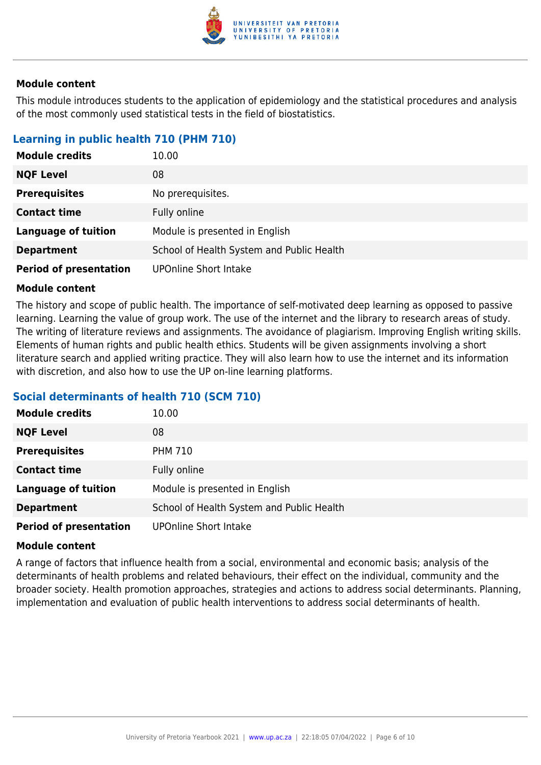

This module introduces students to the application of epidemiology and the statistical procedures and analysis of the most commonly used statistical tests in the field of biostatistics.

# **Learning in public health 710 (PHM 710)**

| <b>Module credits</b>         | 10.00                                     |
|-------------------------------|-------------------------------------------|
| <b>NQF Level</b>              | 08                                        |
| <b>Prerequisites</b>          | No prerequisites.                         |
| <b>Contact time</b>           | Fully online                              |
| <b>Language of tuition</b>    | Module is presented in English            |
| <b>Department</b>             | School of Health System and Public Health |
| <b>Period of presentation</b> | <b>UPOnline Short Intake</b>              |

#### **Module content**

The history and scope of public health. The importance of self-motivated deep learning as opposed to passive learning. Learning the value of group work. The use of the internet and the library to research areas of study. The writing of literature reviews and assignments. The avoidance of plagiarism. Improving English writing skills. Elements of human rights and public health ethics. Students will be given assignments involving a short literature search and applied writing practice. They will also learn how to use the internet and its information with discretion, and also how to use the UP on-line learning platforms.

#### **Social determinants of health 710 (SCM 710)**

| <b>Module credits</b>         | 10.00                                     |
|-------------------------------|-------------------------------------------|
| <b>NQF Level</b>              | 08                                        |
| <b>Prerequisites</b>          | <b>PHM 710</b>                            |
| <b>Contact time</b>           | Fully online                              |
| <b>Language of tuition</b>    | Module is presented in English            |
| <b>Department</b>             | School of Health System and Public Health |
| <b>Period of presentation</b> | <b>UPOnline Short Intake</b>              |

#### **Module content**

A range of factors that influence health from a social, environmental and economic basis; analysis of the determinants of health problems and related behaviours, their effect on the individual, community and the broader society. Health promotion approaches, strategies and actions to address social determinants. Planning, implementation and evaluation of public health interventions to address social determinants of health.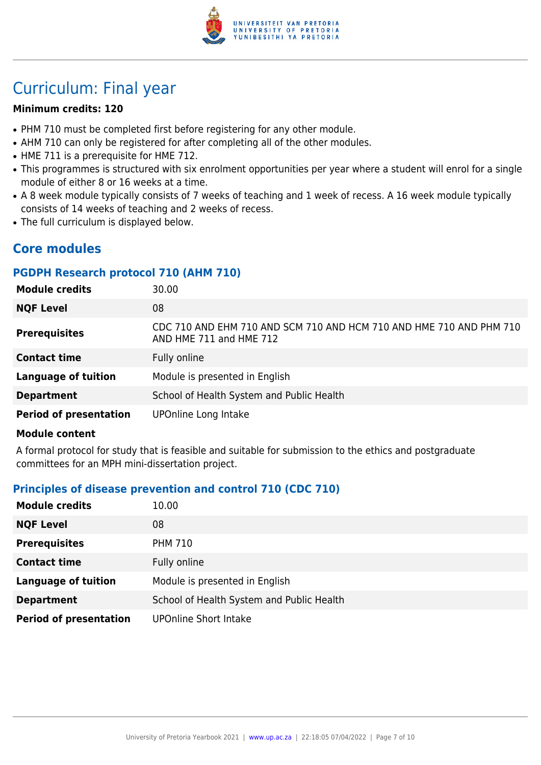

# Curriculum: Final year

#### **Minimum credits: 120**

- PHM 710 must be completed first before registering for any other module.
- AHM 710 can only be registered for after completing all of the other modules.
- HME 711 is a prerequisite for HME 712.
- This programmes is structured with six enrolment opportunities per year where a student will enrol for a single module of either 8 or 16 weeks at a time.
- A 8 week module typically consists of 7 weeks of teaching and 1 week of recess. A 16 week module typically consists of 14 weeks of teaching and 2 weeks of recess.
- The full curriculum is displayed below.

# **Core modules**

#### **PGDPH Research protocol 710 (AHM 710)**

| <b>Module credits</b>         | 30.00                                                                                          |
|-------------------------------|------------------------------------------------------------------------------------------------|
| <b>NQF Level</b>              | 08                                                                                             |
| <b>Prerequisites</b>          | CDC 710 AND EHM 710 AND SCM 710 AND HCM 710 AND HME 710 AND PHM 710<br>AND HME 711 and HME 712 |
| <b>Contact time</b>           | Fully online                                                                                   |
| <b>Language of tuition</b>    | Module is presented in English                                                                 |
| <b>Department</b>             | School of Health System and Public Health                                                      |
| <b>Period of presentation</b> | UPOnline Long Intake                                                                           |

#### **Module content**

A formal protocol for study that is feasible and suitable for submission to the ethics and postgraduate committees for an MPH mini-dissertation project.

# **Principles of disease prevention and control 710 (CDC 710)**

| <b>Module credits</b>         | 10.00                                     |
|-------------------------------|-------------------------------------------|
| <b>NQF Level</b>              | 08                                        |
| <b>Prerequisites</b>          | <b>PHM 710</b>                            |
| <b>Contact time</b>           | Fully online                              |
| <b>Language of tuition</b>    | Module is presented in English            |
| <b>Department</b>             | School of Health System and Public Health |
| <b>Period of presentation</b> | <b>UPOnline Short Intake</b>              |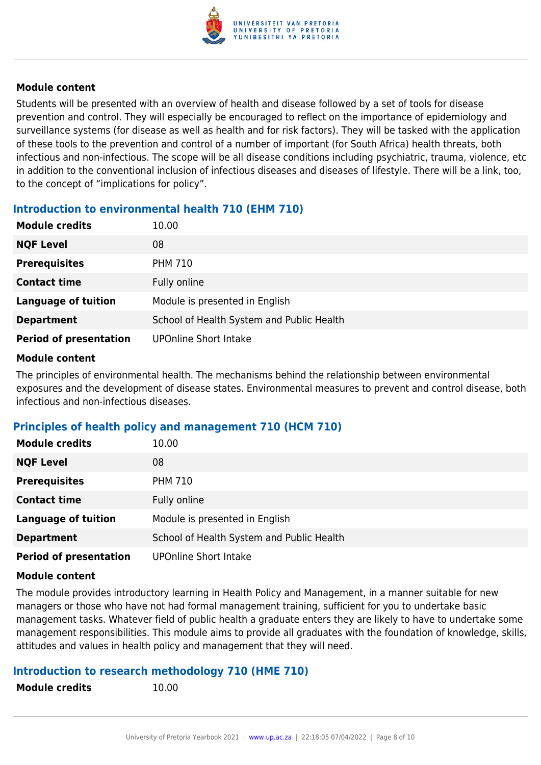

Students will be presented with an overview of health and disease followed by a set of tools for disease prevention and control. They will especially be encouraged to reflect on the importance of epidemiology and surveillance systems (for disease as well as health and for risk factors). They will be tasked with the application of these tools to the prevention and control of a number of important (for South Africa) health threats, both infectious and non-infectious. The scope will be all disease conditions including psychiatric, trauma, violence, etc in addition to the conventional inclusion of infectious diseases and diseases of lifestyle. There will be a link, too, to the concept of "implications for policy".

# **Introduction to environmental health 710 (EHM 710)**

| <b>Module credits</b>         | 10.00                                     |
|-------------------------------|-------------------------------------------|
| <b>NQF Level</b>              | 08                                        |
| <b>Prerequisites</b>          | <b>PHM 710</b>                            |
| <b>Contact time</b>           | Fully online                              |
| <b>Language of tuition</b>    | Module is presented in English            |
| <b>Department</b>             | School of Health System and Public Health |
| <b>Period of presentation</b> | <b>UPOnline Short Intake</b>              |

#### **Module content**

The principles of environmental health. The mechanisms behind the relationship between environmental exposures and the development of disease states. Environmental measures to prevent and control disease, both infectious and non-infectious diseases.

# **Principles of health policy and management 710 (HCM 710)**

| <b>Module credits</b>         | 10.00                                     |
|-------------------------------|-------------------------------------------|
| <b>NQF Level</b>              | 08                                        |
| <b>Prerequisites</b>          | <b>PHM 710</b>                            |
| <b>Contact time</b>           | Fully online                              |
| <b>Language of tuition</b>    | Module is presented in English            |
| <b>Department</b>             | School of Health System and Public Health |
| <b>Period of presentation</b> | <b>UPOnline Short Intake</b>              |

#### **Module content**

The module provides introductory learning in Health Policy and Management, in a manner suitable for new managers or those who have not had formal management training, sufficient for you to undertake basic management tasks. Whatever field of public health a graduate enters they are likely to have to undertake some management responsibilities. This module aims to provide all graduates with the foundation of knowledge, skills, attitudes and values in health policy and management that they will need.

#### **Introduction to research methodology 710 (HME 710)**

```
Module credits 10.00
```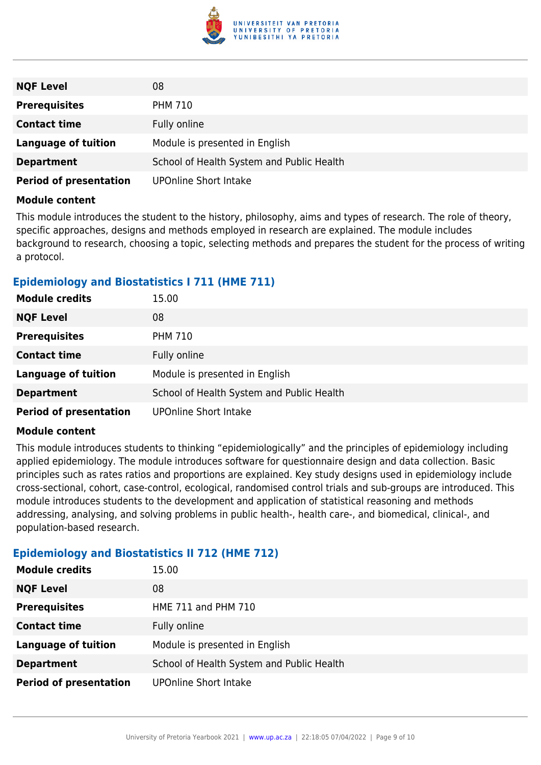

| <b>NQF Level</b>              | 08                                        |
|-------------------------------|-------------------------------------------|
| <b>Prerequisites</b>          | <b>PHM 710</b>                            |
| <b>Contact time</b>           | Fully online                              |
| <b>Language of tuition</b>    | Module is presented in English            |
| <b>Department</b>             | School of Health System and Public Health |
| <b>Period of presentation</b> | <b>UPOnline Short Intake</b>              |

This module introduces the student to the history, philosophy, aims and types of research. The role of theory, specific approaches, designs and methods employed in research are explained. The module includes background to research, choosing a topic, selecting methods and prepares the student for the process of writing a protocol.

### **Epidemiology and Biostatistics I 711 (HME 711)**

| <b>Module credits</b>         | 15.00                                     |
|-------------------------------|-------------------------------------------|
| <b>NQF Level</b>              | 08                                        |
| <b>Prerequisites</b>          | <b>PHM 710</b>                            |
| <b>Contact time</b>           | Fully online                              |
| <b>Language of tuition</b>    | Module is presented in English            |
| <b>Department</b>             | School of Health System and Public Health |
| <b>Period of presentation</b> | <b>UPOnline Short Intake</b>              |

#### **Module content**

This module introduces students to thinking "epidemiologically" and the principles of epidemiology including applied epidemiology. The module introduces software for questionnaire design and data collection. Basic principles such as rates ratios and proportions are explained. Key study designs used in epidemiology include cross-sectional, cohort, case-control, ecological, randomised control trials and sub-groups are introduced. This module introduces students to the development and application of statistical reasoning and methods addressing, analysing, and solving problems in public health-, health care-, and biomedical, clinical-, and population-based research.

# **Epidemiology and Biostatistics II 712 (HME 712)**

| <b>Module credits</b>         | 15.00                                     |
|-------------------------------|-------------------------------------------|
| <b>NQF Level</b>              | 08                                        |
| <b>Prerequisites</b>          | HME 711 and PHM 710                       |
| <b>Contact time</b>           | Fully online                              |
| <b>Language of tuition</b>    | Module is presented in English            |
| <b>Department</b>             | School of Health System and Public Health |
| <b>Period of presentation</b> | <b>UPOnline Short Intake</b>              |